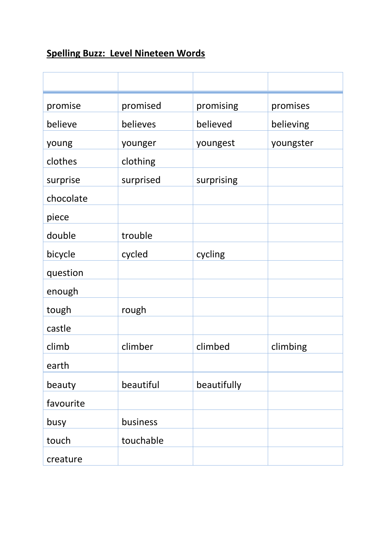## **Spelling Buzz: Level Nineteen Words**

| promise            | promised  | promising   | promises  |
|--------------------|-----------|-------------|-----------|
| believe            | believes  | believed    | believing |
| young              | younger   | youngest    | youngster |
| clothes            | clothing  |             |           |
| surprise           | surprised | surprising  |           |
| chocolate<br>piece |           |             |           |
| double             | trouble   |             |           |
| bicycle            | cycled    | cycling     |           |
| question           |           |             |           |
| enough             |           |             |           |
| tough              | rough     |             |           |
| castle             |           |             |           |
| climb              | climber   | climbed     | climbing  |
| earth              |           |             |           |
| beauty             | beautiful | beautifully |           |
| favourite          |           |             |           |
| busy               | business  |             |           |
| touch              | touchable |             |           |
| creature           |           |             |           |